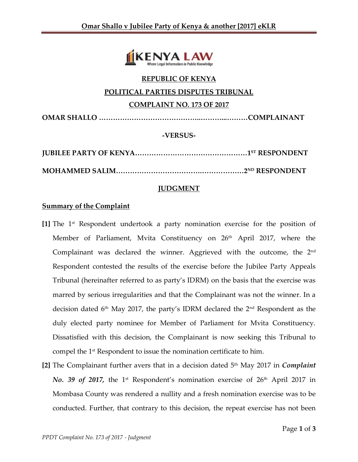

# **REPUBLIC OF KENYA POLITICAL PARTIES DISPUTES TRIBUNAL COMPLAINT NO. 173 OF 2017 OMAR SHALLO ……………………………………..………...………COMPLAINANT -VERSUS-**

**JUBILEE PARTY OF KENYA…………………………………………1 ST RESPONDENT MOHAMMED SALIM……………………………….………………2ND RESPONDENT**

## **JUDGMENT**

## **Summary of the Complaint**

- **[1]** The 1st Respondent undertook a party nomination exercise for the position of Member of Parliament, Mvita Constituency on 26<sup>th</sup> April 2017, where the Complainant was declared the winner. Aggrieved with the outcome, the 2nd Respondent contested the results of the exercise before the Jubilee Party Appeals Tribunal (hereinafter referred to as party's IDRM) on the basis that the exercise was marred by serious irregularities and that the Complainant was not the winner. In a decision dated  $6<sup>th</sup>$  May 2017, the party's IDRM declared the  $2<sup>nd</sup>$  Respondent as the duly elected party nominee for Member of Parliament for Mvita Constituency. Dissatisfied with this decision, the Complainant is now seeking this Tribunal to compel the 1st Respondent to issue the nomination certificate to him.
- **[2]** The Complainant further avers that in a decision dated 5th May 2017 in *Complaint No.* 39 of 2017, the 1<sup>st</sup> Respondent's nomination exercise of 26<sup>th</sup> April 2017 in Mombasa County was rendered a nullity and a fresh nomination exercise was to be conducted. Further, that contrary to this decision, the repeat exercise has not been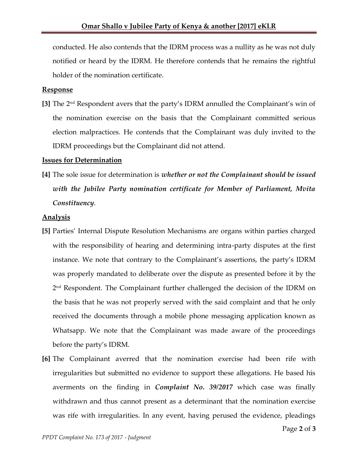conducted. He also contends that the IDRM process was a nullity as he was not duly notified or heard by the IDRM. He therefore contends that he remains the rightful holder of the nomination certificate.

#### **Response**

**[3]** The 2nd Respondent avers that the party's IDRM annulled the Complainant's win of the nomination exercise on the basis that the Complainant committed serious election malpractices. He contends that the Complainant was duly invited to the IDRM proceedings but the Complainant did not attend.

#### **Issues for Determination**

**[4]** The sole issue for determination is *whether or not the Complainant should be issued with the Jubilee Party nomination certificate for Member of Parliament, Mvita Constituency*.

#### **Analysis**

- **[5]** Parties' Internal Dispute Resolution Mechanisms are organs within parties charged with the responsibility of hearing and determining intra-party disputes at the first instance. We note that contrary to the Complainant's assertions, the party's IDRM was properly mandated to deliberate over the dispute as presented before it by the 2 nd Respondent. The Complainant further challenged the decision of the IDRM on the basis that he was not properly served with the said complaint and that he only received the documents through a mobile phone messaging application known as Whatsapp. We note that the Complainant was made aware of the proceedings before the party's IDRM.
- **[6]** The Complainant averred that the nomination exercise had been rife with irregularities but submitted no evidence to support these allegations. He based his averments on the finding in *Complaint No. 39/2017* which case was finally withdrawn and thus cannot present as a determinant that the nomination exercise was rife with irregularities. In any event, having perused the evidence, pleadings